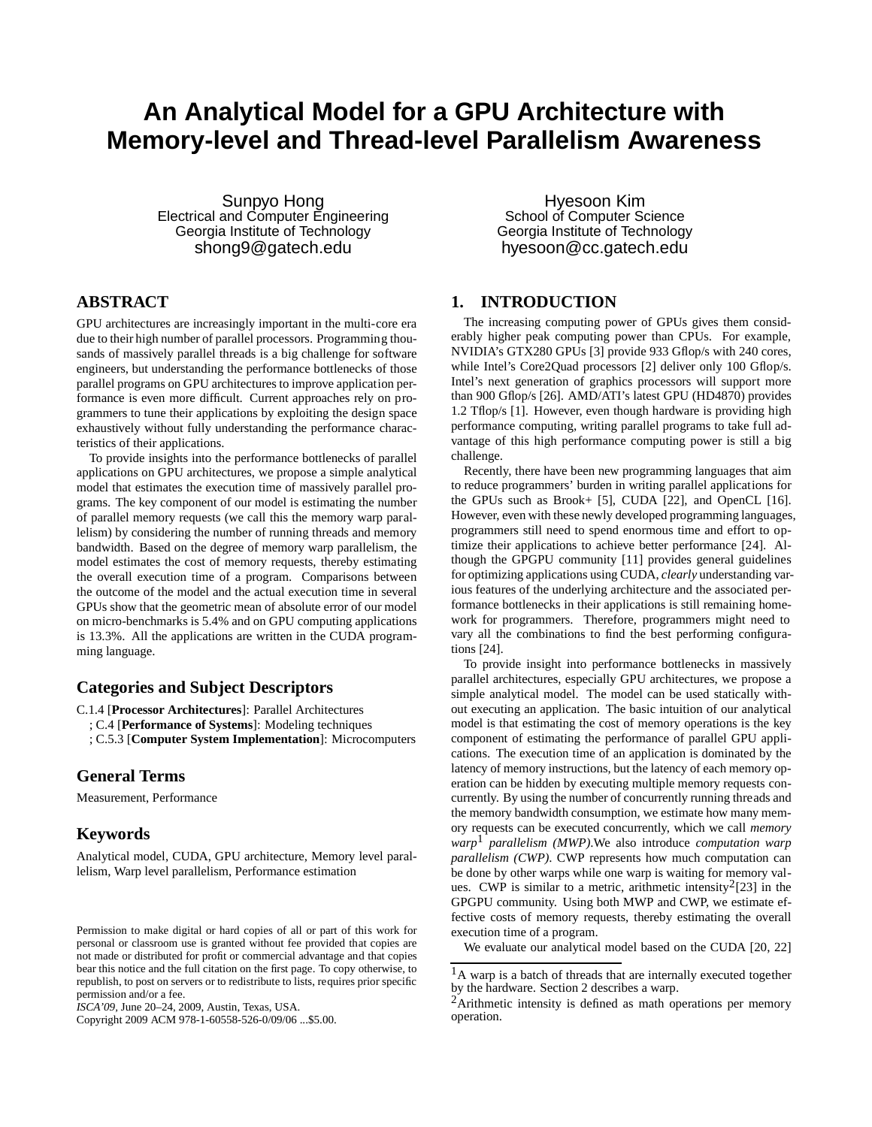# **An Analytical Model for a GPU Architecture with Memory-level and Thread-level Parallelism Awareness**

Sunpyo Hong Electrical and Computer Engineering Georgia Institute of Technology shong9@gatech.edu

# **ABSTRACT**

GPU architectures are increasingly important in the multi-core era due to their high number of parallel processors. Programming thousands of massively parallel threads is a big challenge for software engineers, but understanding the performance bottlenecks of those parallel programs on GPU architectures to improve application performance is even more difficult. Current approaches rely on programmers to tune their applications by exploiting the design space exhaustively without fully understanding the performance characteristics of their applications.

To provide insights into the performance bottlenecks of parallel applications on GPU architectures, we propose a simple analytical model that estimates the execution time of massively parallel programs. The key component of our model is estimating the number of parallel memory requests (we call this the memory warp parallelism) by considering the number of running threads and memory bandwidth. Based on the degree of memory warp parallelism, the model estimates the cost of memory requests, thereby estimating the overall execution time of a program. Comparisons between the outcome of the model and the actual execution time in several GPUs show that the geometric mean of absolute error of our model on micro-benchmarks is 5.4% and on GPU computing applications is 13.3%. All the applications are written in the CUDA programming language.

# **Categories and Subject Descriptors**

C.1.4 [**Processor Architectures**]: Parallel Architectures

- ; C.4 [**Performance of Systems**]: Modeling techniques
- ; C.5.3 [**Computer System Implementation**]: Microcomputers

#### **General Terms**

Measurement, Performance

## **Keywords**

Analytical model, CUDA, GPU architecture, Memory level parallelism, Warp level parallelism, Performance estimation

Copyright 2009 ACM 978-1-60558-526-0/09/06 ...\$5.00.

Hyesoon Kim School of Computer Science Georgia Institute of Technology hyesoon@cc.gatech.edu

# **1. INTRODUCTION**

The increasing computing power of GPUs gives them considerably higher peak computing power than CPUs. For example, NVIDIA's GTX280 GPUs [3] provide 933 Gflop/s with 240 cores, while Intel's Core2Quad processors [2] deliver only 100 Gflop/s. Intel's next generation of graphics processors will support more than 900 Gflop/s [26]. AMD/ATI's latest GPU (HD4870) provides 1.2 Tflop/s [1]. However, even though hardware is providing high performance computing, writing parallel programs to take full advantage of this high performance computing power is still a big challenge.

Recently, there have been new programming languages that aim to reduce programmers' burden in writing parallel applications for the GPUs such as Brook+ [5], CUDA [22], and OpenCL [16]. However, even with these newly developed programming languages, programmers still need to spend enormous time and effort to optimize their applications to achieve better performance [24]. Although the GPGPU community [11] provides general guidelines for optimizing applications using CUDA, *clearly* understanding various features of the underlying architecture and the associated performance bottlenecks in their applications is still remaining homework for programmers. Therefore, programmers might need to vary all the combinations to find the best performing configurations [24].

To provide insight into performance bottlenecks in massively parallel architectures, especially GPU architectures, we propose a simple analytical model. The model can be used statically without executing an application. The basic intuition of our analytical model is that estimating the cost of memory operations is the key component of estimating the performance of parallel GPU applications. The execution time of an application is dominated by the latency of memory instructions, but the latency of each memory operation can be hidden by executing multiple memory requests concurrently. By using the number of concurrently running threads and the memory bandwidth consumption, we estimate how many memory requests can be executed concurrently, which we call *memory warp*1 *parallelism (MWP)*.We also introduce *computation warp parallelism (CWP)*. CWP represents how much computation can be done by other warps while one warp is waiting for memory values. CWP is similar to a metric, arithmetic intensity<sup>2</sup>[23] in the GPGPU community. Using both MWP and CWP, we estimate effective costs of memory requests, thereby estimating the overall execution time of a program.

We evaluate our analytical model based on the CUDA [20, 22]

Permission to make digital or hard copies of all or part of this work for personal or classroom use is granted without fee provided that copies are not made or distributed for profit or commercial advantage and that copies bear this notice and the full citation on the first page. To copy otherwise, to republish, to post on servers or to redistribute to lists, requires prior specific permission and/or a fee.

*ISCA'09,* June 20–24, 2009, Austin, Texas, USA.

<sup>&</sup>lt;sup>1</sup>A warp is a batch of threads that are internally executed together by the hardware. Section 2 describes a warp.

 $2$ Arithmetic intensity is defined as math operations per memory operation.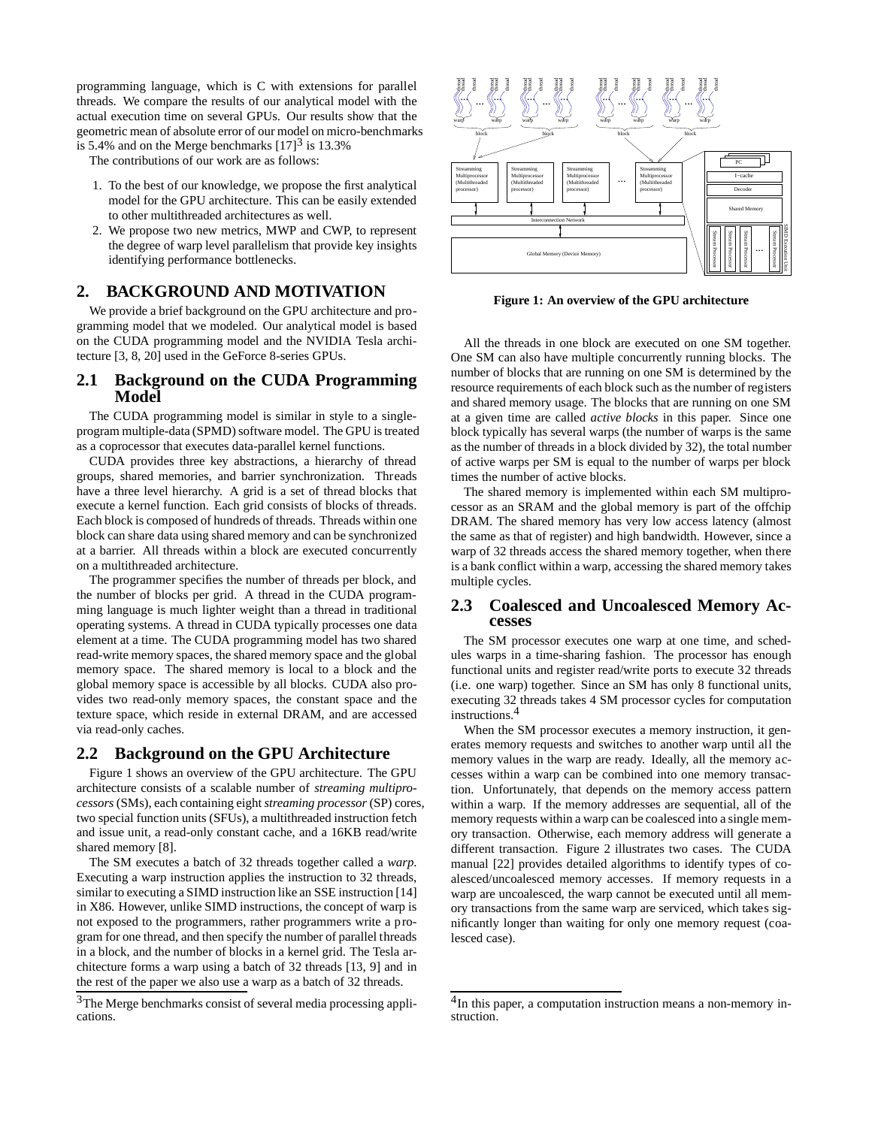programming language, which is C with extensions for parallel threads. We compare the results of our analytical model with the actual execution time on several GPUs. Our results show that the geometric mean of absolute error of our model on micro-benchmarks is 5.4% and on the Merge benchmarks  $[17]^3$  is 13.3%

The contributions of our work are as follows:

- 1. To the best of our knowledge, we propose the first analytical model for the GPU architecture. This can be easily extended to other multithreaded architectures as well.
- 2. We propose two new metrics, MWP and CWP, to represent the degree of warp level parallelism that provide key insights identifying performance bottlenecks.

## **2. BACKGROUND AND MOTIVATION**

We provide a brief background on the GPU architecture and programming model that we modeled. Our analytical model is based on the CUDA programming model and the NVIDIA Tesla architecture [3, 8, 20] used in the GeForce 8-series GPUs.

## **2.1 Background on the CUDA Programming Model**

The CUDA programming model is similar in style to a singleprogram multiple-data (SPMD) software model. The GPU is treated as a coprocessor that executes data-parallel kernel functions.

CUDA provides three key abstractions, a hierarchy of thread groups, shared memories, and barrier synchronization. Threads have a three level hierarchy. A grid is a set of thread blocks that execute a kernel function. Each grid consists of blocks of threads. Each block is composed of hundreds of threads. Threads within one block can share data using shared memory and can be synchronized at a barrier. All threads within a block are executed concurrently on a multithreaded architecture.

The programmer specifies the number of threads per block, and the number of blocks per grid. A thread in the CUDA programming language is much lighter weight than a thread in traditional operating systems. A thread in CUDA typically processes one data element at a time. The CUDA programming model has two shared read-write memory spaces, the shared memory space and the global memory space. The shared memory is local to a block and the global memory space is accessible by all blocks. CUDA also provides two read-only memory spaces, the constant space and the texture space, which reside in external DRAM, and are accessed via read-only caches.

## **2.2 Background on the GPU Architecture**

Figure 1 shows an overview of the GPU architecture. The GPU architecture consists of a scalable number of *streaming multiprocessors* (SMs), each containing eight*streaming processor* (SP) cores, two special function units (SFUs), a multithreaded instruction fetch and issue unit, a read-only constant cache, and a 16KB read/write shared memory [8].

The SM executes a batch of 32 threads together called a *warp*. Executing a warp instruction applies the instruction to 32 threads, similar to executing a SIMD instruction like an SSE instruction [14] in X86. However, unlike SIMD instructions, the concept of warp is not exposed to the programmers, rather programmers write a program for one thread, and then specify the number of parallel threads in a block, and the number of blocks in a kernel grid. The Tesla architecture forms a warp using a batch of 32 threads [13, 9] and in the rest of the paper we also use a warp as a batch of 32 threads.



**Figure 1: An overview of the GPU architecture**

All the threads in one block are executed on one SM together. One SM can also have multiple concurrently running blocks. The number of blocks that are running on one SM is determined by the resource requirements of each block such as the number of registers and shared memory usage. The blocks that are running on one SM at a given time are called *active blocks* in this paper. Since one block typically has several warps (the number of warps is the same as the number of threads in a block divided by 32), the total number of active warps per SM is equal to the number of warps per block times the number of active blocks.

The shared memory is implemented within each SM multiprocessor as an SRAM and the global memory is part of the offchip DRAM. The shared memory has very low access latency (almost the same as that of register) and high bandwidth. However, since a warp of 32 threads access the shared memory together, when there is a bank conflict within a warp, accessing the shared memory takes multiple cycles.

#### **2.3 Coalesced and Uncoalesced Memory Accesses**

The SM processor executes one warp at one time, and schedules warps in a time-sharing fashion. The processor has enough functional units and register read/write ports to execute 32 threads (i.e. one warp) together. Since an SM has only 8 functional units, executing 32 threads takes 4 SM processor cycles for computation instructions.4

When the SM processor executes a memory instruction, it generates memory requests and switches to another warp until all the memory values in the warp are ready. Ideally, all the memory accesses within a warp can be combined into one memory transaction. Unfortunately, that depends on the memory access pattern within a warp. If the memory addresses are sequential, all of the memory requests within a warp can be coalesced into a single memory transaction. Otherwise, each memory address will generate a different transaction. Figure 2 illustrates two cases. The CUDA manual [22] provides detailed algorithms to identify types of coalesced/uncoalesced memory accesses. If memory requests in a warp are uncoalesced, the warp cannot be executed until all memory transactions from the same warp are serviced, which takes significantly longer than waiting for only one memory request (coalesced case).

<sup>3</sup>The Merge benchmarks consist of several media processing applications.

<sup>&</sup>lt;sup>4</sup>In this paper, a computation instruction means a non-memory instruction.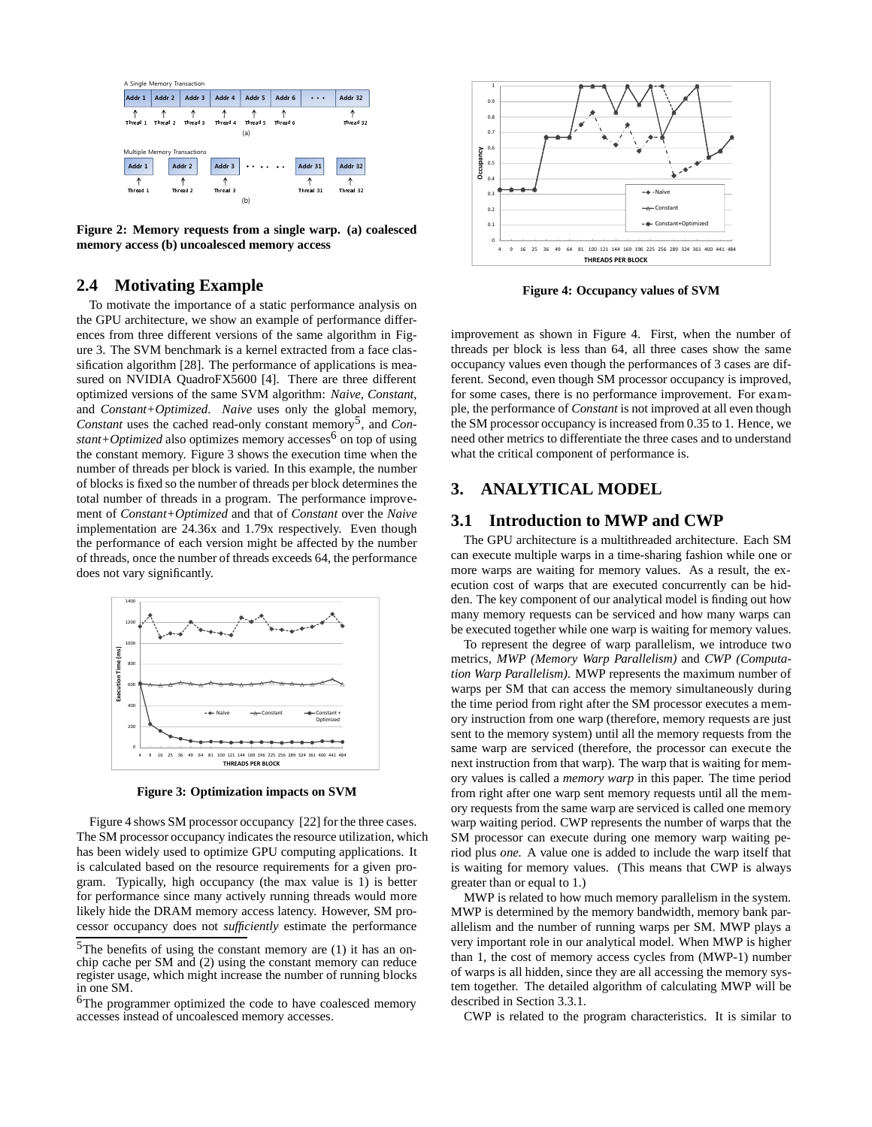

**Figure 2: Memory requests from a single warp. (a) coalesced memory access (b) uncoalesced memory access**

## **2.4 Motivating Example**

To motivate the importance of a static performance analysis on the GPU architecture, we show an example of performance differences from three different versions of the same algorithm in Figure 3. The SVM benchmark is a kernel extracted from a face classification algorithm [28]. The performance of applications is measured on NVIDIA QuadroFX5600 [4]. There are three different optimized versions of the same SVM algorithm: *Naive*, *Constant*, and *Constant+Optimized*. *Naive* uses only the global memory, *Constant* uses the cached read-only constant memory5 , and *Constant+Optimized* also optimizes memory accesses<sup>6</sup> on top of using the constant memory. Figure 3 shows the execution time when the number of threads per block is varied. In this example, the number of blocks is fixed so the number of threads per block determines the total number of threads in a program. The performance improvement of *Constant+Optimized* and that of *Constant* over the *Naive* implementation are 24.36x and 1.79x respectively. Even though the performance of each version might be affected by the number of threads, once the number of threads exceeds 64, the performance does not vary significantly.



**Figure 3: Optimization impacts on SVM**

Figure 4 shows SM processor occupancy [22] for the three cases. The SM processor occupancy indicates the resource utilization, which has been widely used to optimize GPU computing applications. It is calculated based on the resource requirements for a given program. Typically, high occupancy (the max value is 1) is better for performance since many actively running threads would more likely hide the DRAM memory access latency. However, SM processor occupancy does not *sufficiently* estimate the performance



**Figure 4: Occupancy values of SVM**

improvement as shown in Figure 4. First, when the number of threads per block is less than 64, all three cases show the same occupancy values even though the performances of 3 cases are different. Second, even though SM processor occupancy is improved, for some cases, there is no performance improvement. For example, the performance of *Constant* is not improved at all even though the SM processor occupancy is increased from 0.35 to 1. Hence, we need other metrics to differentiate the three cases and to understand what the critical component of performance is.

# **3. ANALYTICAL MODEL**

## **3.1 Introduction to MWP and CWP**

The GPU architecture is a multithreaded architecture. Each SM can execute multiple warps in a time-sharing fashion while one or more warps are waiting for memory values. As a result, the execution cost of warps that are executed concurrently can be hidden. The key component of our analytical model is finding out how many memory requests can be serviced and how many warps can be executed together while one warp is waiting for memory values.

To represent the degree of warp parallelism, we introduce two metrics, *MWP (Memory Warp Parallelism)* and *CWP (Computation Warp Parallelism)*. MWP represents the maximum number of warps per SM that can access the memory simultaneously during the time period from right after the SM processor executes a memory instruction from one warp (therefore, memory requests are just sent to the memory system) until all the memory requests from the same warp are serviced (therefore, the processor can execute the next instruction from that warp). The warp that is waiting for memory values is called a *memory warp* in this paper. The time period from right after one warp sent memory requests until all the memory requests from the same warp are serviced is called one memory warp waiting period. CWP represents the number of warps that the SM processor can execute during one memory warp waiting period plus *one.* A value one is added to include the warp itself that is waiting for memory values. (This means that CWP is always greater than or equal to 1.)

MWP is related to how much memory parallelism in the system. MWP is determined by the memory bandwidth, memory bank parallelism and the number of running warps per SM. MWP plays a very important role in our analytical model. When MWP is higher than 1, the cost of memory access cycles from (MWP-1) number of warps is all hidden, since they are all accessing the memory system together. The detailed algorithm of calculating MWP will be described in Section 3.3.1.

CWP is related to the program characteristics. It is similar to

<sup>5</sup>The benefits of using the constant memory are (1) it has an onchip cache per SM and (2) using the constant memory can reduce register usage, which might increase the number of running blocks in one SM.

<sup>&</sup>lt;sup>6</sup>The programmer optimized the code to have coalesced memory accesses instead of uncoalesced memory accesses.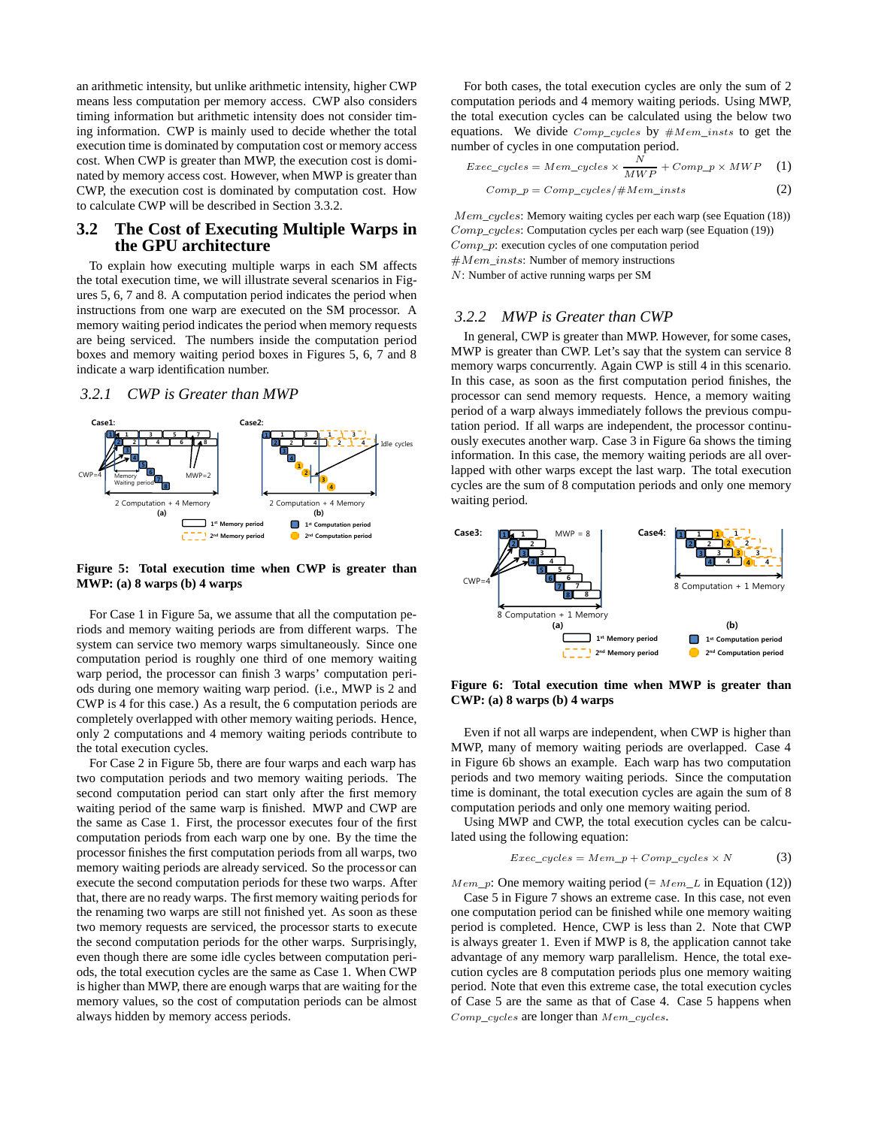an arithmetic intensity, but unlike arithmetic intensity, higher CWP means less computation per memory access. CWP also considers timing information but arithmetic intensity does not consider timing information. CWP is mainly used to decide whether the total execution time is dominated by computation cost or memory access cost. When CWP is greater than MWP, the execution cost is dominated by memory access cost. However, when MWP is greater than CWP, the execution cost is dominated by computation cost. How to calculate CWP will be described in Section 3.3.2.

## **3.2 The Cost of Executing Multiple Warps in the GPU architecture**

To explain how executing multiple warps in each SM affects the total execution time, we will illustrate several scenarios in Figures 5, 6, 7 and 8. A computation period indicates the period when instructions from one warp are executed on the SM processor. A memory waiting period indicates the period when memory requests are being serviced. The numbers inside the computation period boxes and memory waiting period boxes in Figures 5, 6, 7 and 8 indicate a warp identification number.

#### *3.2.1 CWP is Greater than MWP*



#### **Figure 5: Total execution time when CWP is greater than MWP: (a) 8 warps (b) 4 warps**

For Case 1 in Figure 5a, we assume that all the computation periods and memory waiting periods are from different warps. The system can service two memory warps simultaneously. Since one computation period is roughly one third of one memory waiting warp period, the processor can finish 3 warps' computation periods during one memory waiting warp period. (i.e., MWP is 2 and CWP is 4 for this case.) As a result, the 6 computation periods are completely overlapped with other memory waiting periods. Hence, only 2 computations and 4 memory waiting periods contribute to the total execution cycles.

For Case 2 in Figure 5b, there are four warps and each warp has two computation periods and two memory waiting periods. The second computation period can start only after the first memory waiting period of the same warp is finished. MWP and CWP are the same as Case 1. First, the processor executes four of the first computation periods from each warp one by one. By the time the processor finishes the first computation periods from all warps, two memory waiting periods are already serviced. So the processor can execute the second computation periods for these two warps. After that, there are no ready warps. The first memory waiting periods for the renaming two warps are still not finished yet. As soon as these two memory requests are serviced, the processor starts to execute the second computation periods for the other warps. Surprisingly, even though there are some idle cycles between computation periods, the total execution cycles are the same as Case 1. When CWP is higher than MWP, there are enough warps that are waiting for the memory values, so the cost of computation periods can be almost always hidden by memory access periods.

For both cases, the total execution cycles are only the sum of 2 computation periods and 4 memory waiting periods. Using MWP, the total execution cycles can be calculated using the below two equations. We divide  $Comp\_cycles$  by  $#Mem\_insts$  to get the number of cycles in one computation period.

$$
Exec\_cycles = Mem\_cycles \times \frac{N}{MWP} + Comp\_p \times MWP \quad (1)
$$

$$
Comp\_p = Comp\_cycles / \#Mem\_insts
$$
 (2)

Mem\_cycles: Memory waiting cycles per each warp (see Equation (18)) Comp\_cycles: Computation cycles per each warp (see Equation (19))  $Comp$  p: execution cycles of one computation period  $#Mem\;insts$ : Number of memory instructions N: Number of active running warps per SM

#### *3.2.2 MWP is Greater than CWP*

In general, CWP is greater than MWP. However, for some cases, MWP is greater than CWP. Let's say that the system can service 8 memory warps concurrently. Again CWP is still 4 in this scenario. In this case, as soon as the first computation period finishes, the processor can send memory requests. Hence, a memory waiting period of a warp always immediately follows the previous computation period. If all warps are independent, the processor continuously executes another warp. Case 3 in Figure 6a shows the timing information. In this case, the memory waiting periods are all overlapped with other warps except the last warp. The total execution cycles are the sum of 8 computation periods and only one memory waiting period.



**Figure 6: Total execution time when MWP is greater than CWP: (a) 8 warps (b) 4 warps**

Even if not all warps are independent, when CWP is higher than MWP, many of memory waiting periods are overlapped. Case 4 in Figure 6b shows an example. Each warp has two computation periods and two memory waiting periods. Since the computation time is dominant, the total execution cycles are again the sum of 8 computation periods and only one memory waiting period.

Using MWP and CWP, the total execution cycles can be calculated using the following equation:

$$
Exec\_cycles = Mem\_p + Comp\_cycles \times N
$$
 (3)

 $Mem_p$ : One memory waiting period (=  $Mem_{\perp}$  in Equation (12))

Case 5 in Figure 7 shows an extreme case. In this case, not even one computation period can be finished while one memory waiting period is completed. Hence, CWP is less than 2. Note that CWP is always greater 1. Even if MWP is 8, the application cannot take advantage of any memory warp parallelism. Hence, the total execution cycles are 8 computation periods plus one memory waiting period. Note that even this extreme case, the total execution cycles of Case 5 are the same as that of Case 4. Case 5 happens when Comp\_cycles are longer than Mem\_cycles.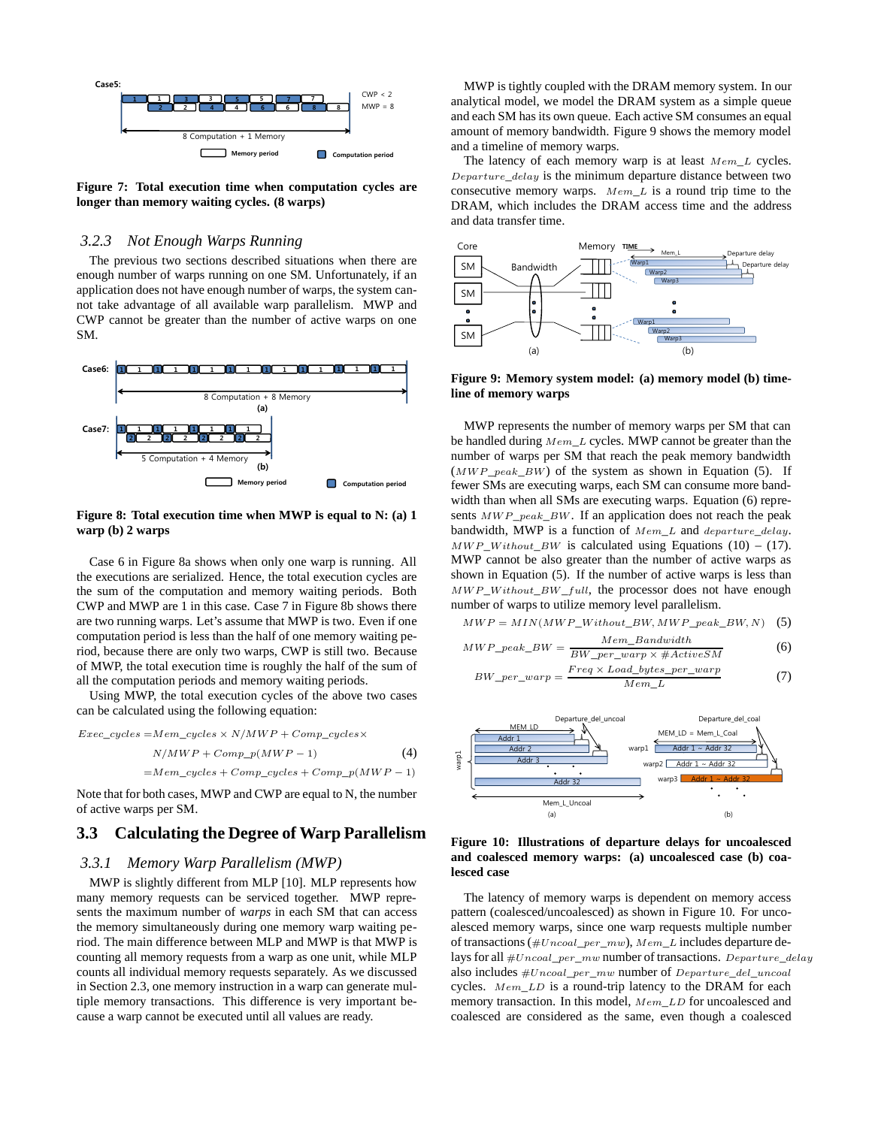

**Figure 7: Total execution time when computation cycles are longer than memory waiting cycles. (8 warps)**

## *3.2.3 Not Enough Warps Running*

The previous two sections described situations when there are enough number of warps running on one SM. Unfortunately, if an application does not have enough number of warps, the system cannot take advantage of all available warp parallelism. MWP and CWP cannot be greater than the number of active warps on one SM.



**Figure 8: Total execution time when MWP is equal to N: (a) 1 warp (b) 2 warps**

Case 6 in Figure 8a shows when only one warp is running. All the executions are serialized. Hence, the total execution cycles are the sum of the computation and memory waiting periods. Both CWP and MWP are 1 in this case. Case 7 in Figure 8b shows there are two running warps. Let's assume that MWP is two. Even if one computation period is less than the half of one memory waiting period, because there are only two warps, CWP is still two. Because of MWP, the total execution time is roughly the half of the sum of all the computation periods and memory waiting periods.

Using MWP, the total execution cycles of the above two cases can be calculated using the following equation:

$$
Exec\_cycles = Mem\_cycles \times N/MWP + Comp\_cycles \times
$$
  
 
$$
N/MWP + Comp\_p(MWP - 1)
$$
 (4)

$$
=Mem\_cycles + Comp\_cycles + Comp\_p(MWP - 1)
$$

Note that for both cases, MWP and CWP are equal to N, the number of active warps per SM.

# **3.3 Calculating the Degree of Warp Parallelism**

#### *3.3.1 Memory Warp Parallelism (MWP)*

MWP is slightly different from MLP [10]. MLP represents how many memory requests can be serviced together. MWP represents the maximum number of *warps* in each SM that can access the memory simultaneously during one memory warp waiting period. The main difference between MLP and MWP is that MWP is counting all memory requests from a warp as one unit, while MLP counts all individual memory requests separately. As we discussed in Section 2.3, one memory instruction in a warp can generate multiple memory transactions. This difference is very important because a warp cannot be executed until all values are ready.

MWP is tightly coupled with the DRAM memory system. In our analytical model, we model the DRAM system as a simple queue and each SM has its own queue. Each active SM consumes an equal amount of memory bandwidth. Figure 9 shows the memory model and a timeline of memory warps.

The latency of each memory warp is at least  $Mem\_L$  cycles. Departure\_delay is the minimum departure distance between two consecutive memory warps.  $Mem\_L$  is a round trip time to the DRAM, which includes the DRAM access time and the address and data transfer time.



**Figure 9: Memory system model: (a) memory model (b) timeline of memory warps**

MWP represents the number of memory warps per SM that can be handled during  $Mem\_L$  cycles. MWP cannot be greater than the number of warps per SM that reach the peak memory bandwidth  $(MWP\_peak\_BW)$  of the system as shown in Equation (5). If fewer SMs are executing warps, each SM can consume more bandwidth than when all SMs are executing warps. Equation (6) represents  $MWP\_peak\_BW$ . If an application does not reach the peak bandwidth, MWP is a function of  $Mem\_L$  and  $departure\_delay$ .  $MWP\_Without\_BW$  is calculated using Equations (10) – (17). MWP cannot be also greater than the number of active warps as shown in Equation (5). If the number of active warps is less than  $MWP$  Without BW full, the processor does not have enough number of warps to utilize memory level parallelism.

$$
MWP = MIN(MWP\_Without\_BW, MWP\_peak\_BW, N) \quad (5)
$$

$$
MWP\_peak\_BW = \frac{Mem\_Bandwidth}{BW\_per\_warp \times #ActiveSM}
$$
(6)  

$$
BW\_per\_warp = \frac{Freq \times Load\_bytes\_per\_warp}{T}
$$
(7)

Mem\_L



#### **Figure 10: Illustrations of departure delays for uncoalesced and coalesced memory warps: (a) uncoalesced case (b) coalesced case**

The latency of memory warps is dependent on memory access pattern (coalesced/uncoalesced) as shown in Figure 10. For uncoalesced memory warps, since one warp requests multiple number of transactions ( $\#Uncoal\_per\_mw$ ),  $Mem\_L$  includes departure delays for all  $#Uncoal\_per\_mw$  number of transactions. Departure\_delay also includes  $#Uncoal\_per\_mw$  number of  $Department\_del\_uncoal$ cycles. Mem\_LD is a round-trip latency to the DRAM for each memory transaction. In this model,  $Mem\_LD$  for uncoalesced and coalesced are considered as the same, even though a coalesced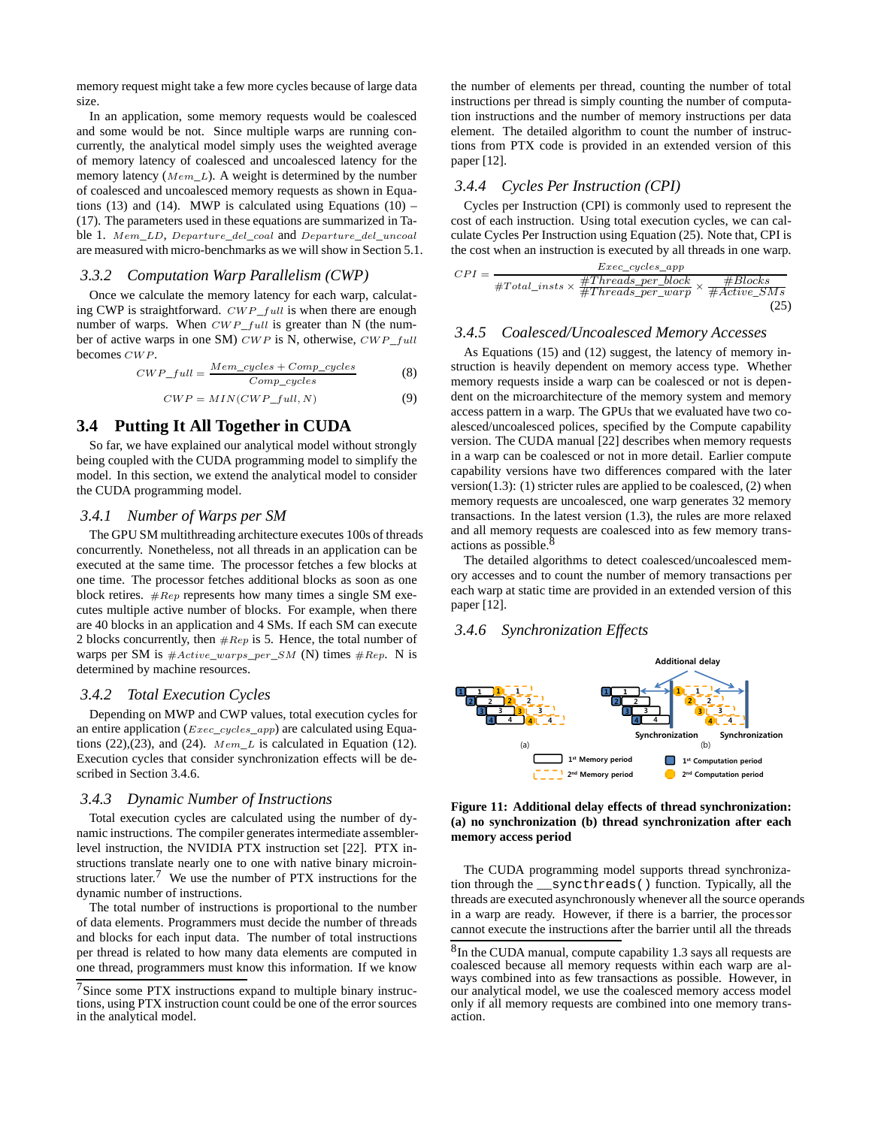memory request might take a few more cycles because of large data size.

In an application, some memory requests would be coalesced and some would be not. Since multiple warps are running concurrently, the analytical model simply uses the weighted average of memory latency of coalesced and uncoalesced latency for the memory latency  $(Mem_L)$ . A weight is determined by the number of coalesced and uncoalesced memory requests as shown in Equations (13) and (14). MWP is calculated using Equations (10) – (17). The parameters used in these equations are summarized in Table 1. Mem\_LD, Departure\_del\_coal and Departure\_del\_uncoal are measured with micro-benchmarks as we will show in Section 5.1.

#### *3.3.2 Computation Warp Parallelism (CWP)*

Once we calculate the memory latency for each warp, calculating CWP is straightforward.  $CWP_f$ ull is when there are enough number of warps. When  $CWP$  *full* is greater than N (the number of active warps in one SM)  $CWP$  is N, otherwise,  $CWP$  full becomes CWP .

$$
CWP\_full = \frac{Mem\_cycles + Comp\_cycles}{Comp\_cycles}
$$
 (8)

$$
CWP = MIN(CWP\_full, N)
$$
\n(9)

## **3.4 Putting It All Together in CUDA**

So far, we have explained our analytical model without strongly being coupled with the CUDA programming model to simplify the model. In this section, we extend the analytical model to consider the CUDA programming model.

#### *3.4.1 Number of Warps per SM*

The GPU SM multithreading architecture executes 100s of threads concurrently. Nonetheless, not all threads in an application can be executed at the same time. The processor fetches a few blocks at one time. The processor fetches additional blocks as soon as one block retires.  $#Rep$  represents how many times a single SM executes multiple active number of blocks. For example, when there are 40 blocks in an application and 4 SMs. If each SM can execute 2 blocks concurrently, then  $\# Rep$  is 5. Hence, the total number of warps per SM is  $#Active\_warps\_per\_SM$  (N) times  $#Rep.$  N is determined by machine resources.

#### *3.4.2 Total Execution Cycles*

Depending on MWP and CWP values, total execution cycles for an entire application (*Exec\_cycles\_app*) are calculated using Equations (22),(23), and (24).  $Mem\_L$  is calculated in Equation (12). Execution cycles that consider synchronization effects will be described in Section 3.4.6.

#### *3.4.3 Dynamic Number of Instructions*

Total execution cycles are calculated using the number of namic instructions. The compiler generates intermediate assemlevel instruction, the NVIDIA PTX instruction set [22]. PTY structions translate nearly one to one with native binary microstructure. structions later.<sup>7</sup> We use the number of PTX instructions for dynamic number of instructions.

The total number of instructions is proportional to the number of data elements. Programmers must decide the number of thr and blocks for each input data. The number of total instruct per thread is related to how many data elements are compute one thread, programmers must know this information. If we k the number of elements per thread, counting the number of total instructions per thread is simply counting the number of computation instructions and the number of memory instructions per data element. The detailed algorithm to count the number of instructions from PTX code is provided in an extended version of this paper [12].

## *3.4.4 Cycles Per Instruction (CPI)*

Cycles per Instruction (CPI) is commonly used to represent the cost of each instruction. Using total execution cycles, we can calculate Cycles Per Instruction using Equation (25). Note that, CPI is the cost when an instruction is executed by all threads in one warp.

$$
CPI = \frac{Exec\_cycles\_app}{\#Total\_insts \times \frac{\#Threads\_per\_block}{\#Threads\_per\_warp} \times \frac{\#Blocks}{\#Active\_SMs}}
$$
(25)

#### *3.4.5 Coalesced/Uncoalesced Memory Accesses*

As Equations (15) and (12) suggest, the latency of memory instruction is heavily dependent on memory access type. Whether memory requests inside a warp can be coalesced or not is dependent on the microarchitecture of the memory system and memory access pattern in a warp. The GPUs that we evaluated have two coalesced/uncoalesced polices, specified by the Compute capability version. The CUDA manual [22] describes when memory requests in a warp can be coalesced or not in more detail. Earlier compute capability versions have two differences compared with the later version(1.3): (1) stricter rules are applied to be coalesced, (2) when memory requests are uncoalesced, one warp generates 32 memory transactions. In the latest version (1.3), the rules are more relaxed and all memory requests are coalesced into as few memory transactions as possible.8

The detailed algorithms to detect coalesced/uncoalesced memory accesses and to count the number of memory transactions per each warp at static time are provided in an extended version of this paper [12].

#### *3.4.6 Synchronization Effects*



#### **Figure 11: Additional delay effects of thread synchronization: (a) no synchronization (b) thread synchronization after each memory access period**

The CUDA programming model supports thread synchronization through the \_\_syncthreads() function. Typically, all the threads are executed asynchronously whenever all the source operands in a warp are ready. However, if there is a barrier, the processor cannot execute the instructions after the barrier until all the threads

<sup>7</sup>Since some PTX instructions expand to multiple binary instructions, using PTX instruction count could be one of the error sources in the analytical model.

<sup>8</sup> In the CUDA manual, compute capability 1.3 says all requests are coalesced because all memory requests within each warp are always combined into as few transactions as possible. However, in our analytical model, we use the coalesced memory access model only if all memory requests are combined into one memory transaction.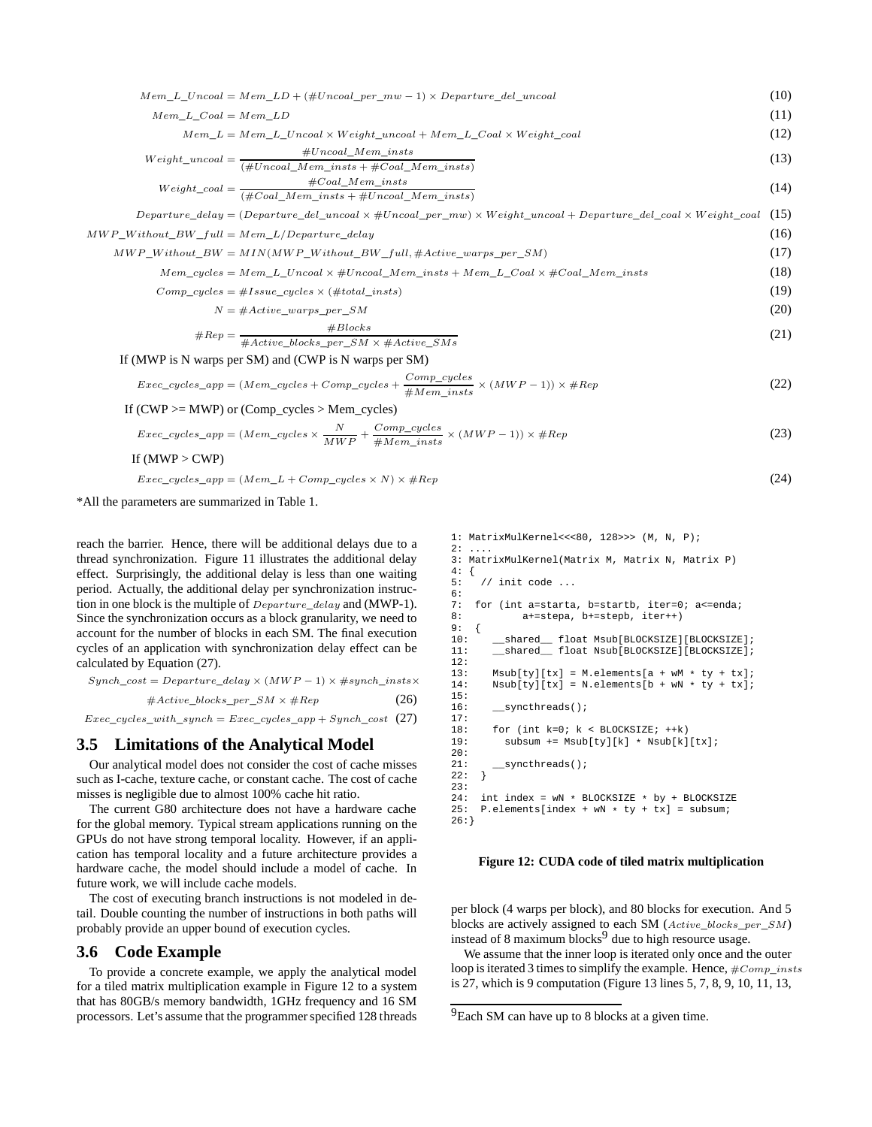| $Mem\_L\_Uncoal = Mem\_LD + (\#Uncoal\_per\_mw - 1) \times Department\_del\_uncoal$                                                       | (10) |
|-------------------------------------------------------------------------------------------------------------------------------------------|------|
| $Mem L \text{ } Coal = Mem LD$                                                                                                            | (11) |
| $Mem\ L = Mem\ L\ Uncoal \times Weight\ uncoal + Mem\ L\ Coul \times Weight\ coal$                                                        | (12) |
| $Weight\_uncoal = \frac{\#Uncoal\_Mem\_insts}{(\#Uncoal\_Mem\_insts + \#Coal\_Mem\_insts)}$                                               | (13) |
| $Weight\_coal = \frac{\#Coal\_Mem\_insts}{(\#Coal\_Mem\_insts) + \#Urocal\_Mem\_insts)}$                                                  | (14) |
| $Departmente\_delay = (Departmented\_del\_uncoal \times #Uncoal\_per\_mw) \times Weight\_uncoal + Departmented\_coal \times Weight\_coal$ | (15) |
| $MWP\_Without\_BW\_full = Mem\_L/Departure\_delay$                                                                                        | (16) |
| $MWP\_Without\_BW = MIN(MWP\_Without\_BW\_full, \#Active\_warps\_per\_SM)$                                                                | (17) |
| $Mem\_cycles = Mem\_L\_Uncoal \times #Uncoal \; Mem\_insts + Mem\_L\_Coal \times #Coal \; Mem\_insts$                                     | (18) |
| $Comp\_cycles = #Issue\_cycles \times (\#total\_insts)$                                                                                   | (19) |
| $N = \text{\#Active}$ warps per SM                                                                                                        | (20) |
| $\#Rep = \frac{\# Blocks}{\#Active\_blocks\_per\_SM \times \#Active\_SMs}$                                                                | (21) |
| If (MWP is N warps per SM) and (CWP is N warps per SM)                                                                                    |      |
| $Exec\_cycles\_app = (Mem\_cycles + Comp\_cycles + \frac{Comp\_cycles}{\#Mem\_insts} \times (MWP - 1)) \times \#Rep$                      | (22) |
| If $(CWP \geq MWP)$ or $(Comp_cycles > Mem_cycles)$                                                                                       |      |
| $Exec\_cycles\_app = (Mem\_cycles \times \frac{N}{MWP} + \frac{Comp\_cycles}{\#Mem\_insts} \times (MWP - 1)) \times \#Rep$                | (23) |
| If $(MWP > CWP)$                                                                                                                          |      |
| $Exec\_cycles\_app = (Mem\_L + Comp\_cycles \times N) \times \#Rep$                                                                       | (24) |
| All the commenters are concerned to Table 1.                                                                                              |      |

\*All the parameters are summarized in Table 1.

reach the barrier. Hence, there will be additional delays due to a thread synchronization. Figure 11 illustrates the additional delay effect. Surprisingly, the additional delay is less than one waiting period. Actually, the additional delay per synchronization instruction in one block is the multiple of Departure\_delay and (MWP-1). Since the synchronization occurs as a block granularity, we need to account for the number of blocks in each SM. The final execution cycles of an application with synchronization delay effect can be calculated by Equation (27).

$$
Synch\_cost = Departure\_delay \times (MWP - 1) \times \#synch\_insts \times
$$

$$
\#Active\_blocks\_per\_SM \times \#Rep
$$
 (26)

 $Exec\_cycles\_with\_synch =Exec\_cycles\_app + Synch\_cost$  (27)

## **3.5 Limitations of the Analytical Model**

Our analytical model does not consider the cost of cache misses such as I-cache, texture cache, or constant cache. The cost of cache misses is negligible due to almost 100% cache hit ratio.

The current G80 architecture does not have a hardware cache for the global memory. Typical stream applications running on the GPUs do not have strong temporal locality. However, if an application has temporal locality and a future architecture provides a hardware cache, the model should include a model of cache. In future work, we will include cache models.

The cost of executing branch instructions is not modeled in detail. Double counting the number of instructions in both paths will probably provide an upper bound of execution cycles.

#### **3.6 Code Example**

To provide a concrete example, we apply the analytical model for a tiled matrix multiplication example in Figure 12 to a system that has 80GB/s memory bandwidth, 1GHz frequency and 16 SM processors. Let's assume that the programmer specified 128 threads

```
1: MatrixMulKernel<<<80, 128>>> (M, N, P);
2: ....
3: MatrixMulKernel(Matrix M, Matrix N, Matrix P)
4: \{<br>5:
      // init code ...
6:7:7: for (int a=starta, b=startb, iter=0; a<=enda;<br>8: a+=stepa, b+=stepb, iter++)
               a+=stepa, b+=stepb, iter++)
9: {
           _shared__ float Msub[BLOCKSIZE][BLOCKSIZE];
11: __shared__ float Nsub[BLOCKSIZE][BLOCKSIZE];
12:<br>13:13: Msub[ty][tx] = M.elements[a + wM * ty + tx];<br>14: Nsub[ty][tx] = N.elements[b + wN * ty + tx];Nsub[ty][tx] = N.elements[b + wN * ty + tx];15:
16: ___ syncthreads();
\frac{17:}{18:}for (int k=0; k < BLOCKSIZE; ++k)
19: subsum += M \sup[ty][k] \cdot M \sup[k][tx];20:21:21\sum syncthreads();
22:23:
24: int index = wN * BLOCKSIZE * by + BLOCKSIZE 25: P.elements[index + wN * tv + tx] = subsum;
      P.\text{elements}[\text{index} + wN * ty + tx] = \text{subsum};26:}
```
#### **Figure 12: CUDA code of tiled matrix multiplication**

per block (4 warps per block), and 80 blocks for execution. And 5 blocks are actively assigned to each SM (Active\_blocks\_per\_SM) instead of 8 maximum blocks<sup>9</sup> due to high resource usage.

We assume that the inner loop is iterated only once and the outer loop is iterated 3 times to simplify the example. Hence,  $\#Comp\_insts$ is 27, which is 9 computation (Figure 13 lines 5, 7, 8, 9, 10, 11, 13,

 $9$ Each SM can have up to 8 blocks at a given time.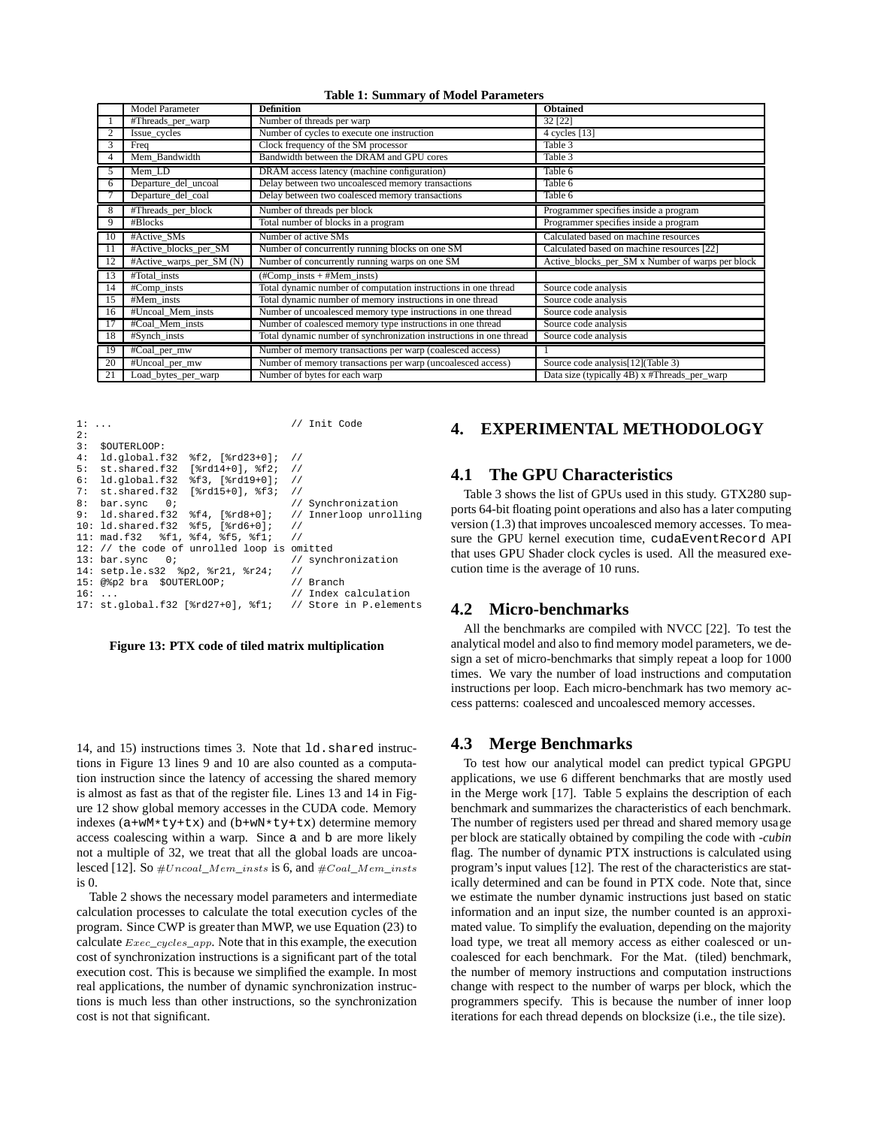| <b>Table 1: Summary of Model Parameters</b> |  |
|---------------------------------------------|--|
|---------------------------------------------|--|

|    | <b>Model Parameter</b>   | <b>Definition</b>                                                  | <b>Obtained</b>                                            |
|----|--------------------------|--------------------------------------------------------------------|------------------------------------------------------------|
|    | #Threads_per_warp        | Number of threads per warp                                         | 32 [22]                                                    |
|    | Issue_cycles             | Number of cycles to execute one instruction                        | 4 cycles $[13]$                                            |
| 3  | Freq                     | Clock frequency of the SM processor                                | Table 3                                                    |
|    | Mem_Bandwidth            | Bandwidth between the DRAM and GPU cores                           | Table 3                                                    |
| 5  | Mem LD                   | DRAM access latency (machine configuration)                        | Table 6                                                    |
| 6  | Departure_del_uncoal     | Delay between two uncoalesced memory transactions                  | Table 6                                                    |
|    | Departure_del_coal       | Delay between two coalesced memory transactions                    | Table 6                                                    |
| 8  | #Threads_per_block       | Number of threads per block                                        | Programmer specifies inside a program                      |
| 9  | #Blocks                  | Total number of blocks in a program                                | Programmer specifies inside a program                      |
| 10 | #Active_SMs              | Number of active SMs                                               | Calculated based on machine resources                      |
|    | #Active_blocks_per_SM    | Number of concurrently running blocks on one SM                    | Calculated based on machine resources [22]                 |
| 12 | #Active_warps_per_SM (N) | Number of concurrently running warps on one SM                     | Active_blocks_per_SM x Number of warps per block           |
| 13 | #Total insts             | $(\text{\#Comp}\; \text{insts} + \text{\#Mem}\; \text{insts})$     |                                                            |
| 14 | $#Comp_{}$ insts         | Total dynamic number of computation instructions in one thread     | Source code analysis                                       |
| 15 | $#Mem_insts$             | Total dynamic number of memory instructions in one thread          | Source code analysis                                       |
| 16 | #Uncoal Mem insts        | Number of uncoalesced memory type instructions in one thread       | Source code analysis                                       |
| 17 | #Coal_Mem_insts          | Number of coalesced memory type instructions in one thread         | Source code analysis                                       |
| 18 | #Synch_insts             | Total dynamic number of synchronization instructions in one thread | Source code analysis                                       |
| 19 | #Coal_per_mw             | Number of memory transactions per warp (coalesced access)          |                                                            |
| 20 | #Uncoal_per_mw           | Number of memory transactions per warp (uncoalesced access)        | Source code analysis[12](Table 3)                          |
| 21 | Load_bytes_per_warp      | Number of bytes for each warp                                      | Data size (typically $\overline{AB}$ ) x #Threads_per_warp |

```
1: ... // Init Code
2:
3: $OUTERLOOP:
4: ld.global.f32 %f2, [%rd23+0]; //
                      [8rd14+0], $f2; //
6: ld.global.f32 %f3, [%rd19+0]; //
7: st.shared.f32<br>8: bar.sync 0;
8: bar.sync 0; // Synchronization<br>9: ld.shared.f32 %f4, [%rd8+0]; // Innerloop unrol
                      %f4, [%rd8+0]; // Innerloop unrolling<br>%f5, [%rd6+0]; //
10: ld.shared.f32 %f5, [%rd6+0]; //<br>11: mad.f32 %f1. %f4. %f5. %f1; //
11: mad.f32 %f1, %f4, %f5, %f1; //
12: // the code of unrolled loop is omitted<br>13: bar.sync 0; // synchronization
13: bar.sync 0; //14: setp.le.s32 %p2, %r21, %r24; //
15: @%p2 bra $OUTERLOOP; // Branch
16: ... // Index calculation<br>17: st.global.f32 [$rd27+0], $f1; // Store in P.elements
17: st.global.f32 [%rd27+0], %f1;
```


14, and 15) instructions times 3. Note that ld.shared instructions in Figure 13 lines 9 and 10 are also counted as a computation instruction since the latency of accessing the shared memory is almost as fast as that of the register file. Lines 13 and 14 in Figure 12 show global memory accesses in the CUDA code. Memory indexes (a+wM\*ty+tx) and (b+wN\*ty+tx) determine memory access coalescing within a warp. Since a and b are more likely not a multiple of 32, we treat that all the global loads are uncoalesced [12]. So  $\#Uncoal\_Mem\_insts$  is 6, and  $\#Coal\_Mem\_insts$ is 0.

Table 2 shows the necessary model parameters and intermediate calculation processes to calculate the total execution cycles of the program. Since CWP is greater than MWP, we use Equation (23) to calculate  $Exec\_cycles\_app$ . Note that in this example, the execution cost of synchronization instructions is a significant part of the total execution cost. This is because we simplified the example. In most real applications, the number of dynamic synchronization instructions is much less than other instructions, so the synchronization cost is not that significant.

# **4. EXPERIMENTAL METHODOLOGY**

#### **4.1 The GPU Characteristics**

Table 3 shows the list of GPUs used in this study. GTX280 supports 64-bit floating point operations and also has a later computing version (1.3) that improves uncoalesced memory accesses. To measure the GPU kernel execution time, cudaEventRecord API that uses GPU Shader clock cycles is used. All the measured execution time is the average of 10 runs.

#### **4.2 Micro-benchmarks**

All the benchmarks are compiled with NVCC [22]. To test the analytical model and also to find memory model parameters, we design a set of micro-benchmarks that simply repeat a loop for 1000 times. We vary the number of load instructions and computation instructions per loop. Each micro-benchmark has two memory access patterns: coalesced and uncoalesced memory accesses.

#### **4.3 Merge Benchmarks**

To test how our analytical model can predict typical GPGPU applications, we use 6 different benchmarks that are mostly used in the Merge work [17]. Table 5 explains the description of each benchmark and summarizes the characteristics of each benchmark. The number of registers used per thread and shared memory usage per block are statically obtained by compiling the code with *-cubin* flag. The number of dynamic PTX instructions is calculated using program's input values [12]. The rest of the characteristics are statically determined and can be found in PTX code. Note that, since we estimate the number dynamic instructions just based on static information and an input size, the number counted is an approximated value. To simplify the evaluation, depending on the majority load type, we treat all memory access as either coalesced or uncoalesced for each benchmark. For the Mat. (tiled) benchmark, the number of memory instructions and computation instructions change with respect to the number of warps per block, which the programmers specify. This is because the number of inner loop iterations for each thread depends on blocksize (i.e., the tile size).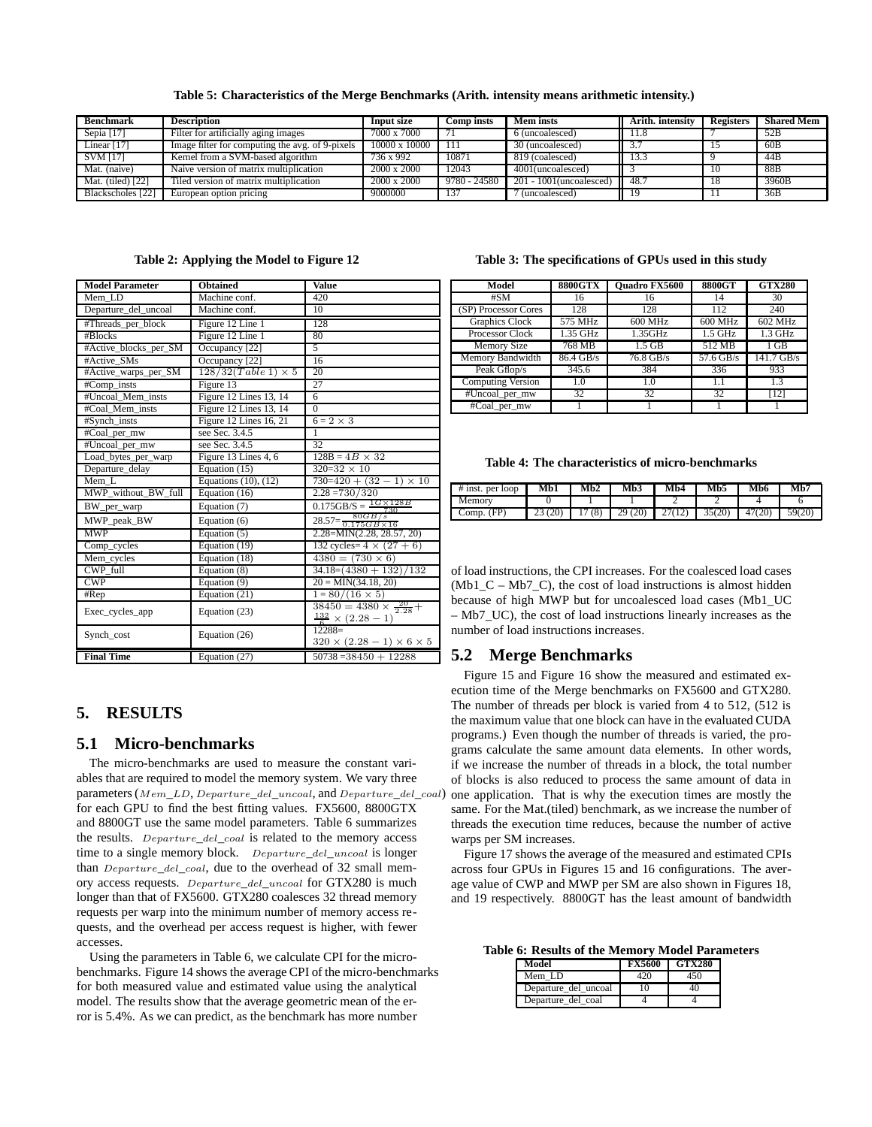**Table 5: Characteristics of the Merge Benchmarks (Arith. intensity means arithmetic intensity.)**

| <b>Benchmark</b>    | <b>Description</b>                              | Input size           | Comp insts   | Mem insts                  | Arith. intensity | <b>Registers</b> | <b>Shared Mem</b> |
|---------------------|-------------------------------------------------|----------------------|--------------|----------------------------|------------------|------------------|-------------------|
| Sepia [17]          | Filter for artificially aging images            | 7000 x 7000          |              | 6 (uncoalesced)            | 11.8             |                  | 52 <sub>B</sub>   |
| Linear $[17]$       | Image filter for computing the avg. of 9-pixels | $10000 \times 10000$ |              | 30 (uncoalesced)           |                  |                  | 60B               |
| <b>SVM [17]</b>     | Kernel from a SVM-based algorithm               | 736 x 992            | 10871        | 819 (coalesced)            | 13.3             |                  | 44 <sub>B</sub>   |
| Mat. (naive)        | Naive version of matrix multiplication          | 2000 x 2000          | 12043        | 4001(uncoalesced)          |                  |                  | 88B               |
| Mat. (tiled) $[22]$ | Tiled version of matrix multiplication          | 2000 x 2000          | 9780 - 24580 | $201 - 1001$ (uncoalesced) | 48.7             |                  | 3960B             |
| Blackscholes [22]   | European option pricing                         | 9000000              | 137          | (uncoalesced)              |                  |                  | 36B               |

#### **Table 2: Applying the Model to Figure 12**

| <b>Model Parameter</b> | <b>Obtained</b>             | Value                                                                        |
|------------------------|-----------------------------|------------------------------------------------------------------------------|
| Mem LD                 | Machine conf.               | 420                                                                          |
| Departure_del_uncoal   | Machine conf.               | 10                                                                           |
| #Threads_per_block     | Figure 12 Line 1            | 128                                                                          |
| #Blocks                | Figure 12 Line 1            | 80                                                                           |
| #Active_blocks_per_SM  | Occupancy [22]              | 5                                                                            |
| #Active SMs            | Occupancy [22]              | 16                                                                           |
| #Active warps per SM   | $128/32 (Table 1) \times 5$ | 20                                                                           |
| #Comp insts            | Figure 13                   | 27                                                                           |
| #Uncoal_Mem_insts      | Figure 12 Lines 13, 14      | 6                                                                            |
| #Coal_Mem_insts        | Figure 12 Lines 13, 14      | $\Omega$                                                                     |
| #Synch insts           | Figure $12$ Lines $16, 21$  | $6 = 2 \times 3$                                                             |
| #Coal per mw           | see Sec. 3.4.5              | 1                                                                            |
| #Uncoal per mw         | see Sec. 3.4.5              | 32                                                                           |
| Load_bytes_per_warp    | Figure 13 Lines 4, 6        | $128B = 4B \times 32$                                                        |
| Departure_delay        | Equation (15)               | $320=32 \times 10$                                                           |
| Mem L                  | Equations $(10)$ , $(12)$   | $730=420+(32-1)\times 10$                                                    |
| MWP without BW full    | Equation $(16)$             | $2.28 = 730/320$                                                             |
| BW per warp            | Equation (7)                | $0.175GB/S = \frac{1G \times 128B}{720}$                                     |
| MWP peak BW            | Equation (6)                | $28.57=\frac{80GB/s}{0.175GB\times16}$                                       |
| <b>MWP</b>             | Equation (5)                | 2.28=MIN(2.28, 28.57, 20)                                                    |
| Comp_cycles            | Equation (19)               | 132 cycles = $4 \times (27 + 6)$                                             |
| Mem cycles             | Equation (18)               | $4380 = (730 \times 6)$                                                      |
| CWP full               | Equation $(8)$              | $34.18=(4380+132)/132$                                                       |
| CWP                    | Equation (9)                | $20 = MIN(34.18, 20)$                                                        |
| #Rep                   | Equation (21)               | $1 = 80/(16 \times 5)$                                                       |
| Exec_cycles_app        | Equation (23)               | $38450 = 4380 \times \frac{20}{2.28} +$<br>$\frac{132}{6} \times (2.28 - 1)$ |
| Synch cost             | Equation (26)               | $12288=$<br>$320 \times (2.28 - 1) \times 6 \times 5$                        |
| <b>Final Time</b>      | Equation (27)               | $50738 = 38450 + 12288$                                                      |

# **5. RESULTS**

#### **5.1 Micro-benchmarks**

The micro-benchmarks are used to measure the constant variables that are required to model the memory system. We vary three parameters (Mem\_LD, Departure\_del\_uncoal, and Departure\_del\_coal) for each GPU to find the best fitting values. FX5600, 8800GTX and 8800GT use the same model parameters. Table 6 summarizes the results. Departure\_del\_coal is related to the memory access time to a single memory block. Departure\_del\_uncoal is longer than  $Department_{e\_{del}\_{coal}$ , due to the overhead of 32 small memory access requests. Departure\_del\_uncoal for GTX280 is much longer than that of FX5600. GTX280 coalesces 32 thread memory requests per warp into the minimum number of memory access requests, and the overhead per access request is higher, with fewer accesses.

Using the parameters in Table 6, we calculate CPI for the microbenchmarks. Figure 14 shows the average CPI of the micro-benchmarks for both measured value and estimated value using the analytical model. The results show that the average geometric mean of the error is 5.4%. As we can predict, as the benchmark has more number

#### **Table 3: The specifications of GPUs used in this study**

| Model                    | <b>8800GTX</b> | <b>Quadro FX5600</b> | <b>8800GT</b> | <b>GTX280</b> |
|--------------------------|----------------|----------------------|---------------|---------------|
| #SM                      | 16             | 16                   | 14            | 30            |
| (SP) Processor Cores     | 128            | 128                  | 112           | 240           |
| <b>Graphics Clock</b>    | 575 MHz        | 600 MHz              | 600 MHz       | 602 MHz       |
| Processor Clock          | $1.35$ GHz     | 1.35GHz              | $1.5$ GHz     | $1.3$ GHz     |
| <b>Memory Size</b>       | 768 MB         | $1.5$ GB             | 512 MB        | 1 GB          |
| Memory Bandwidth         | 86.4 GB/s      | 76.8 GB/s            | 57.6 GB/s     | $141.7$ GB/s  |
| Peak Gflop/s             | 345.6          | 384                  | 336           | 933           |
| <b>Computing Version</b> | 1.0            | 1.0                  | 1.1           | 1.3           |
| #Uncoal per mw           | 32             | 32                   | 32            | [12]          |
| #Coal per mw             |                |                      |               |               |

**Table 4: The characteristics of micro-benchmarks**

| $#$ inst. per loop | Mb1     | Mb2   | Mb3    | Mb4    | Mb5    | Mb6    | Mb7    |
|--------------------|---------|-------|--------|--------|--------|--------|--------|
| Memory             |         |       |        |        |        |        |        |
| Comp. $(FP)$       | 23 (20) | 17(8) | 29(20) | 27(12) | 35(20) | 47(20) | 59(20) |

of load instructions, the CPI increases. For the coalesced load cases  $(Mb1_C - Mb7_C)$ , the cost of load instructions is almost hidden because of high MWP but for uncoalesced load cases (Mb1\_UC – Mb7\_UC), the cost of load instructions linearly increases as the number of load instructions increases.

#### **5.2 Merge Benchmarks**

Figure 15 and Figure 16 show the measured and estimated execution time of the Merge benchmarks on FX5600 and GTX280. The number of threads per block is varied from 4 to 512, (512 is the maximum value that one block can have in the evaluated CUDA programs.) Even though the number of threads is varied, the programs calculate the same amount data elements. In other words, if we increase the number of threads in a block, the total number of blocks is also reduced to process the same amount of data in one application. That is why the execution times are mostly the same. For the Mat.(tiled) benchmark, as we increase the number of threads the execution time reduces, because the number of active warps per SM increases.

Figure 17 shows the average of the measured and estimated CPIs across four GPUs in Figures 15 and 16 configurations. The average value of CWP and MWP per SM are also shown in Figures 18, and 19 respectively. 8800GT has the least amount of bandwidth

**Table 6: Results of the Memory Model Parameters**

| Model                | <b>FX5600</b> | <b>GTX280</b> |
|----------------------|---------------|---------------|
| Mem LD               |               |               |
| Departure del uncoal |               |               |
| Departure del coal   |               |               |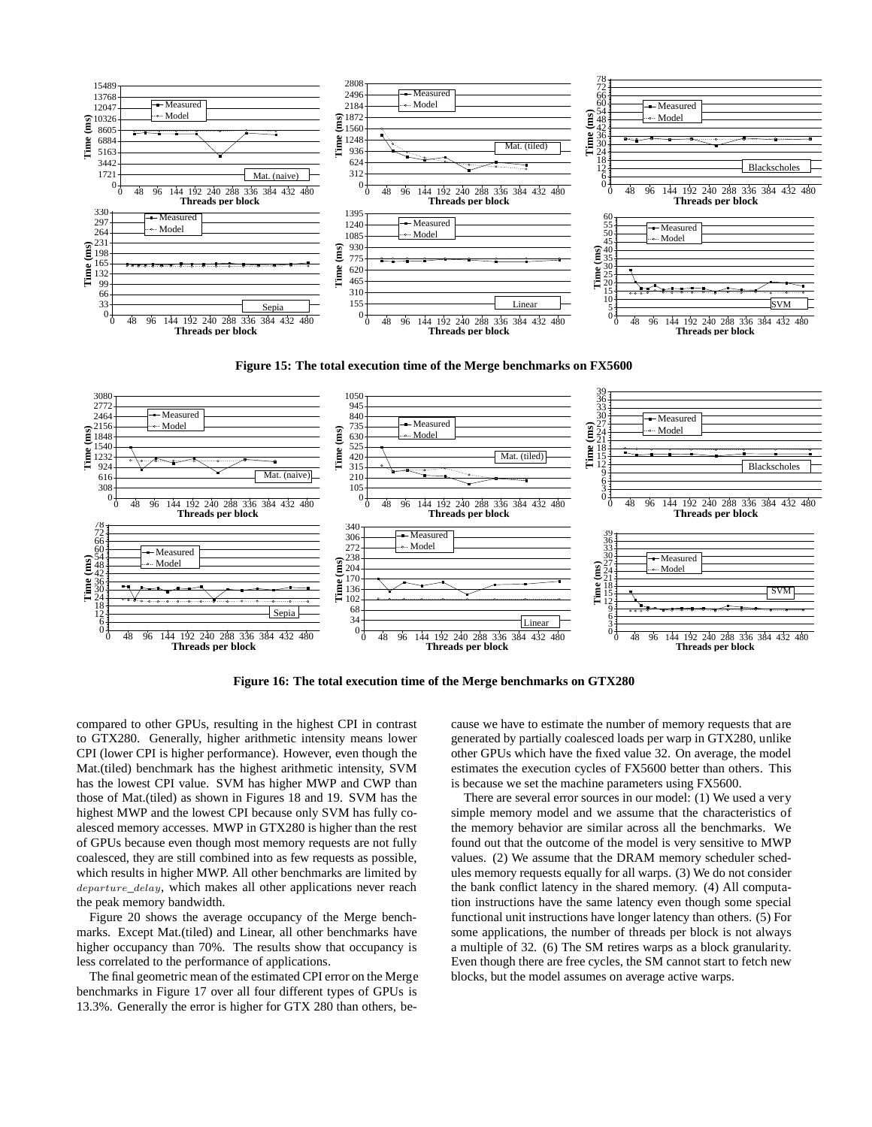

**Figure 15: The total execution time of the Merge benchmarks on FX5600**



**Figure 16: The total execution time of the Merge benchmarks on GTX280**

compared to other GPUs, resulting in the highest CPI in contrast to GTX280. Generally, higher arithmetic intensity means lower CPI (lower CPI is higher performance). However, even though the Mat.(tiled) benchmark has the highest arithmetic intensity, SVM has the lowest CPI value. SVM has higher MWP and CWP than those of Mat.(tiled) as shown in Figures 18 and 19. SVM has the highest MWP and the lowest CPI because only SVM has fully coalesced memory accesses. MWP in GTX280 is higher than the rest of GPUs because even though most memory requests are not fully coalesced, they are still combined into as few requests as possible, which results in higher MWP. All other benchmarks are limited by departure\_delay, which makes all other applications never reach the peak memory bandwidth.

Figure 20 shows the average occupancy of the Merge benchmarks. Except Mat.(tiled) and Linear, all other benchmarks have higher occupancy than 70%. The results show that occupancy is less correlated to the performance of applications.

The final geometric mean of the estimated CPI error on the Merge benchmarks in Figure 17 over all four different types of GPUs is 13.3%. Generally the error is higher for GTX 280 than others, because we have to estimate the number of memory requests that are generated by partially coalesced loads per warp in GTX280, unlike other GPUs which have the fixed value 32. On average, the model estimates the execution cycles of FX5600 better than others. This is because we set the machine parameters using FX5600.

There are several error sources in our model: (1) We used a very simple memory model and we assume that the characteristics of the memory behavior are similar across all the benchmarks. We found out that the outcome of the model is very sensitive to MWP values. (2) We assume that the DRAM memory scheduler schedules memory requests equally for all warps. (3) We do not consider the bank conflict latency in the shared memory. (4) All computation instructions have the same latency even though some special functional unit instructions have longer latency than others. (5) For some applications, the number of threads per block is not always a multiple of 32. (6) The SM retires warps as a block granularity. Even though there are free cycles, the SM cannot start to fetch new blocks, but the model assumes on average active warps.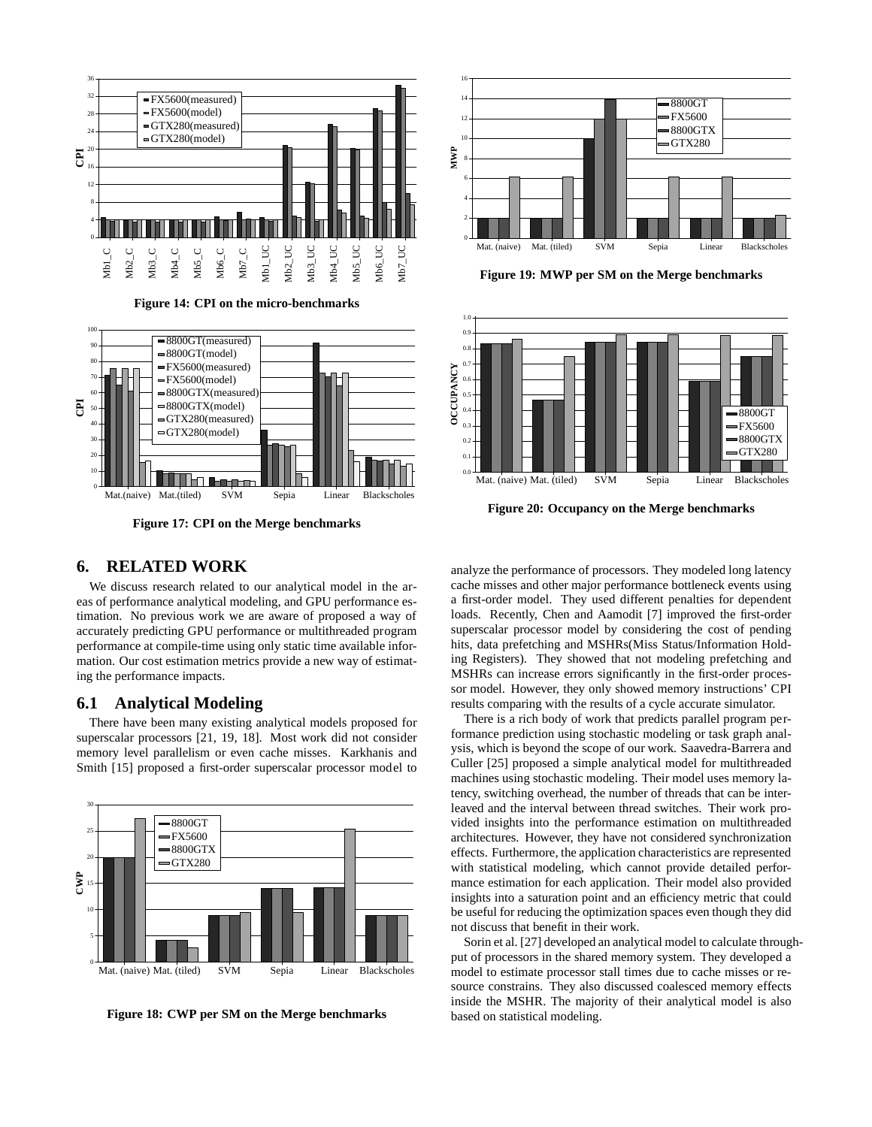

**Figure 14: CPI on the micro-benchmarks**



**Figure 17: CPI on the Merge benchmarks**

# **6. RELATED WORK**

We discuss research related to our analytical model in the areas of performance analytical modeling, and GPU performance estimation. No previous work we are aware of proposed a way of accurately predicting GPU performance or multithreaded program performance at compile-time using only static time available information. Our cost estimation metrics provide a new way of estimating the performance impacts.

## **6.1 Analytical Modeling**

There have been many existing analytical models proposed for superscalar processors [21, 19, 18]. Most work did not consider memory level parallelism or even cache misses. Karkhanis and Smith [15] proposed a first-order superscalar processor model to



**Figure 18: CWP per SM on the Merge benchmarks**



**Figure 19: MWP per SM on the Merge benchmarks**



**Figure 20: Occupancy on the Merge benchmarks**

analyze the performance of processors. They modeled long latency cache misses and other major performance bottleneck events using a first-order model. They used different penalties for dependent loads. Recently, Chen and Aamodit [7] improved the first-order superscalar processor model by considering the cost of pending hits, data prefetching and MSHRs(Miss Status/Information Holding Registers). They showed that not modeling prefetching and MSHRs can increase errors significantly in the first-order processor model. However, they only showed memory instructions' CPI results comparing with the results of a cycle accurate simulator.

There is a rich body of work that predicts parallel program performance prediction using stochastic modeling or task graph analysis, which is beyond the scope of our work. Saavedra-Barrera and Culler [25] proposed a simple analytical model for multithreaded machines using stochastic modeling. Their model uses memory latency, switching overhead, the number of threads that can be interleaved and the interval between thread switches. Their work provided insights into the performance estimation on multithreaded architectures. However, they have not considered synchronization effects. Furthermore, the application characteristics are represented with statistical modeling, which cannot provide detailed performance estimation for each application. Their model also provided insights into a saturation point and an efficiency metric that could be useful for reducing the optimization spaces even though they did not discuss that benefit in their work.

Sorin et al. [27] developed an analytical model to calculate throughput of processors in the shared memory system. They developed a model to estimate processor stall times due to cache misses or resource constrains. They also discussed coalesced memory effects inside the MSHR. The majority of their analytical model is also based on statistical modeling.